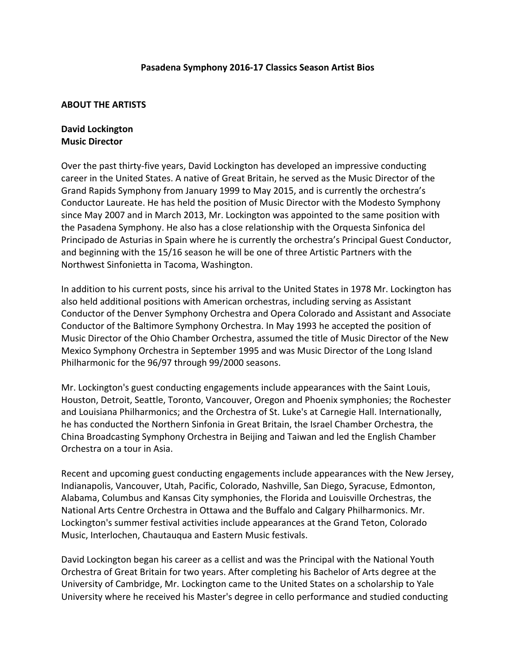### Pasadena Symphony 2016-17 Classics Season Artist Bios

#### **ABOUT THE ARTISTS**

# **David Lockington Music Director**

Over the past thirty-five years, David Lockington has developed an impressive conducting career in the United States. A native of Great Britain, he served as the Music Director of the Grand Rapids Symphony from January 1999 to May 2015, and is currently the orchestra's Conductor Laureate. He has held the position of Music Director with the Modesto Symphony since May 2007 and in March 2013, Mr. Lockington was appointed to the same position with the Pasadena Symphony. He also has a close relationship with the Orquesta Sinfonica del Principado de Asturias in Spain where he is currently the orchestra's Principal Guest Conductor, and beginning with the 15/16 season he will be one of three Artistic Partners with the Northwest Sinfonietta in Tacoma, Washington.

In addition to his current posts, since his arrival to the United States in 1978 Mr. Lockington has also held additional positions with American orchestras, including serving as Assistant Conductor of the Denver Symphony Orchestra and Opera Colorado and Assistant and Associate Conductor of the Baltimore Symphony Orchestra. In May 1993 he accepted the position of Music Director of the Ohio Chamber Orchestra, assumed the title of Music Director of the New Mexico Symphony Orchestra in September 1995 and was Music Director of the Long Island Philharmonic for the 96/97 through 99/2000 seasons.

Mr. Lockington's guest conducting engagements include appearances with the Saint Louis, Houston, Detroit, Seattle, Toronto, Vancouver, Oregon and Phoenix symphonies; the Rochester and Louisiana Philharmonics; and the Orchestra of St. Luke's at Carnegie Hall. Internationally, he has conducted the Northern Sinfonia in Great Britain, the Israel Chamber Orchestra, the China Broadcasting Symphony Orchestra in Beijing and Taiwan and led the English Chamber Orchestra on a tour in Asia.

Recent and upcoming guest conducting engagements include appearances with the New Jersey, Indianapolis, Vancouver, Utah, Pacific, Colorado, Nashville, San Diego, Syracuse, Edmonton, Alabama, Columbus and Kansas City symphonies, the Florida and Louisville Orchestras, the National Arts Centre Orchestra in Ottawa and the Buffalo and Calgary Philharmonics. Mr. Lockington's summer festival activities include appearances at the Grand Teton, Colorado Music, Interlochen, Chautauqua and Eastern Music festivals.

David Lockington began his career as a cellist and was the Principal with the National Youth Orchestra of Great Britain for two years. After completing his Bachelor of Arts degree at the University of Cambridge, Mr. Lockington came to the United States on a scholarship to Yale University where he received his Master's degree in cello performance and studied conducting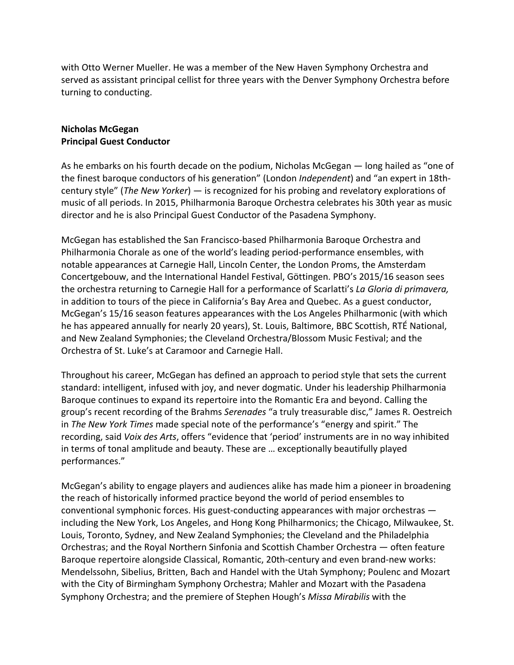with Otto Werner Mueller. He was a member of the New Haven Symphony Orchestra and served as assistant principal cellist for three years with the Denver Symphony Orchestra before turning to conducting.

## **Nicholas McGegan Principal Guest Conductor**

As he embarks on his fourth decade on the podium, Nicholas McGegan  $-$  long hailed as "one of the finest baroque conductors of his generation" (London *Independent*) and "an expert in 18thcentury style" (*The New Yorker*) — is recognized for his probing and revelatory explorations of music of all periods. In 2015, Philharmonia Baroque Orchestra celebrates his 30th year as music director and he is also Principal Guest Conductor of the Pasadena Symphony.

McGegan has established the San Francisco-based Philharmonia Baroque Orchestra and Philharmonia Chorale as one of the world's leading period-performance ensembles, with notable appearances at Carnegie Hall, Lincoln Center, the London Proms, the Amsterdam Concertgebouw, and the International Handel Festival, Göttingen. PBO's 2015/16 season sees the orchestra returning to Carnegie Hall for a performance of Scarlatti's *La Gloria di primavera*, in addition to tours of the piece in California's Bay Area and Quebec. As a guest conductor, McGegan's 15/16 season features appearances with the Los Angeles Philharmonic (with which he has appeared annually for nearly 20 years), St. Louis, Baltimore, BBC Scottish, RTÉ National, and New Zealand Symphonies; the Cleveland Orchestra/Blossom Music Festival; and the Orchestra of St. Luke's at Caramoor and Carnegie Hall.

Throughout his career, McGegan has defined an approach to period style that sets the current standard: intelligent, infused with joy, and never dogmatic. Under his leadership Philharmonia Baroque continues to expand its repertoire into the Romantic Era and beyond. Calling the group's recent recording of the Brahms *Serenades* "a truly treasurable disc," James R. Oestreich in *The New York Times* made special note of the performance's "energy and spirit." The recording, said *Voix des Arts*, offers "evidence that 'period' instruments are in no way inhibited in terms of tonal amplitude and beauty. These are ... exceptionally beautifully played performances."

McGegan's ability to engage players and audiences alike has made him a pioneer in broadening the reach of historically informed practice beyond the world of period ensembles to conventional symphonic forces. His guest-conducting appearances with major orchestras  $$ including the New York, Los Angeles, and Hong Kong Philharmonics; the Chicago, Milwaukee, St. Louis, Toronto, Sydney, and New Zealand Symphonies; the Cleveland and the Philadelphia Orchestras; and the Royal Northern Sinfonia and Scottish Chamber Orchestra — often feature Baroque repertoire alongside Classical, Romantic, 20th-century and even brand-new works: Mendelssohn, Sibelius, Britten, Bach and Handel with the Utah Symphony; Poulenc and Mozart with the City of Birmingham Symphony Orchestra; Mahler and Mozart with the Pasadena Symphony Orchestra; and the premiere of Stephen Hough's Missa Mirabilis with the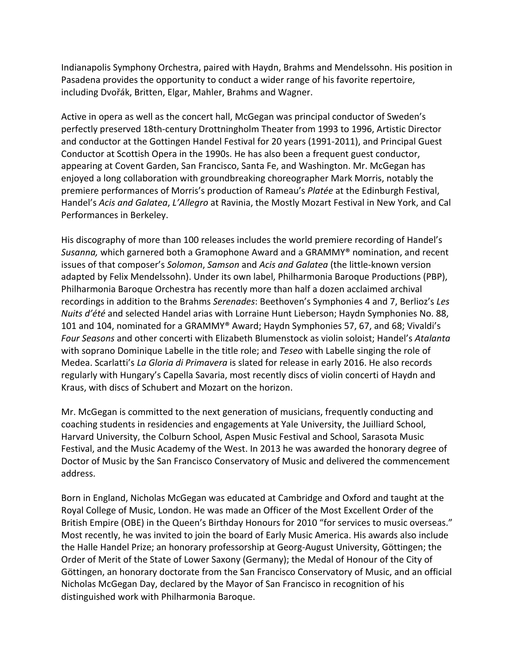Indianapolis Symphony Orchestra, paired with Haydn, Brahms and Mendelssohn. His position in Pasadena provides the opportunity to conduct a wider range of his favorite repertoire, including Dvořák, Britten, Elgar, Mahler, Brahms and Wagner.

Active in opera as well as the concert hall, McGegan was principal conductor of Sweden's perfectly preserved 18th-century Drottningholm Theater from 1993 to 1996, Artistic Director and conductor at the Gottingen Handel Festival for 20 years (1991-2011), and Principal Guest Conductor at Scottish Opera in the 1990s. He has also been a frequent guest conductor, appearing at Covent Garden, San Francisco, Santa Fe, and Washington. Mr. McGegan has enjoyed a long collaboration with groundbreaking choreographer Mark Morris, notably the premiere performances of Morris's production of Rameau's *Platée* at the Edinburgh Festival, Handel's Acis and Galatea, L'Allegro at Ravinia, the Mostly Mozart Festival in New York, and Cal Performances in Berkeley.

His discography of more than 100 releases includes the world premiere recording of Handel's *Susanna,* which garnered both a Gramophone Award and a GRAMMY<sup>®</sup> nomination, and recent issues of that composer's *Solomon, Samson* and *Acis and Galatea* (the little-known version adapted by Felix Mendelssohn). Under its own label, Philharmonia Baroque Productions (PBP), Philharmonia Baroque Orchestra has recently more than half a dozen acclaimed archival recordings in addition to the Brahms *Serenades*: Beethoven's Symphonies 4 and 7, Berlioz's Les *Nuits d'été* and selected Handel arias with Lorraine Hunt Lieberson; Haydn Symphonies No. 88, 101 and 104, nominated for a GRAMMY® Award; Haydn Symphonies 57, 67, and 68; Vivaldi's Four Seasons and other concerti with Elizabeth Blumenstock as violin soloist; Handel's Atalanta with soprano Dominique Labelle in the title role; and *Teseo* with Labelle singing the role of Medea. Scarlatti's *La Gloria di Primavera* is slated for release in early 2016. He also records regularly with Hungary's Capella Savaria, most recently discs of violin concerti of Haydn and Kraus, with discs of Schubert and Mozart on the horizon.

Mr. McGegan is committed to the next generation of musicians, frequently conducting and coaching students in residencies and engagements at Yale University, the Juilliard School, Harvard University, the Colburn School, Aspen Music Festival and School, Sarasota Music Festival, and the Music Academy of the West. In 2013 he was awarded the honorary degree of Doctor of Music by the San Francisco Conservatory of Music and delivered the commencement address. 

Born in England, Nicholas McGegan was educated at Cambridge and Oxford and taught at the Royal College of Music, London. He was made an Officer of the Most Excellent Order of the British Empire (OBE) in the Queen's Birthday Honours for 2010 "for services to music overseas." Most recently, he was invited to join the board of Early Music America. His awards also include the Halle Handel Prize; an honorary professorship at Georg-August University, Göttingen; the Order of Merit of the State of Lower Saxony (Germany); the Medal of Honour of the City of Göttingen, an honorary doctorate from the San Francisco Conservatory of Music, and an official Nicholas McGegan Day, declared by the Mayor of San Francisco in recognition of his distinguished work with Philharmonia Baroque.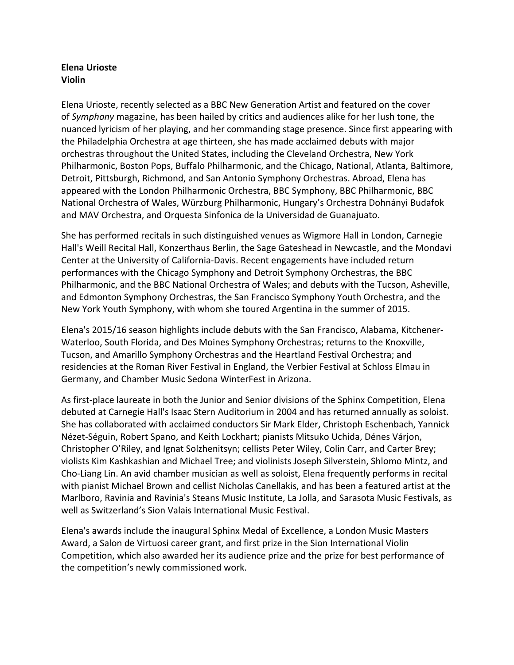# **Elena Urioste Violin**

Elena Urioste, recently selected as a BBC New Generation Artist and featured on the cover of *Symphony* magazine, has been hailed by critics and audiences alike for her lush tone, the nuanced lyricism of her playing, and her commanding stage presence. Since first appearing with the Philadelphia Orchestra at age thirteen, she has made acclaimed debuts with major orchestras throughout the United States, including the Cleveland Orchestra, New York Philharmonic, Boston Pops, Buffalo Philharmonic, and the Chicago, National, Atlanta, Baltimore, Detroit, Pittsburgh, Richmond, and San Antonio Symphony Orchestras. Abroad, Elena has appeared with the London Philharmonic Orchestra, BBC Symphony, BBC Philharmonic, BBC National Orchestra of Wales, Würzburg Philharmonic, Hungary's Orchestra Dohnányi Budafok and MAV Orchestra, and Orquesta Sinfonica de la Universidad de Guanajuato.

She has performed recitals in such distinguished venues as Wigmore Hall in London, Carnegie Hall's Weill Recital Hall, Konzerthaus Berlin, the Sage Gateshead in Newcastle, and the Mondavi Center at the University of California-Davis. Recent engagements have included return performances with the Chicago Symphony and Detroit Symphony Orchestras, the BBC Philharmonic, and the BBC National Orchestra of Wales; and debuts with the Tucson, Asheville, and Edmonton Symphony Orchestras, the San Francisco Symphony Youth Orchestra, and the New York Youth Symphony, with whom she toured Argentina in the summer of 2015.

Elena's 2015/16 season highlights include debuts with the San Francisco, Alabama, Kitchener-Waterloo, South Florida, and Des Moines Symphony Orchestras; returns to the Knoxville, Tucson, and Amarillo Symphony Orchestras and the Heartland Festival Orchestra; and residencies at the Roman River Festival in England, the Verbier Festival at Schloss Elmau in Germany, and Chamber Music Sedona WinterFest in Arizona.

As first-place laureate in both the Junior and Senior divisions of the Sphinx Competition, Elena debuted at Carnegie Hall's Isaac Stern Auditorium in 2004 and has returned annually as soloist. She has collaborated with acclaimed conductors Sir Mark Elder, Christoph Eschenbach, Yannick Nézet-Séguin, Robert Spano, and Keith Lockhart; pianists Mitsuko Uchida, Dénes Várjon, Christopher O'Riley, and Ignat Solzhenitsyn; cellists Peter Wiley, Colin Carr, and Carter Brey; violists Kim Kashkashian and Michael Tree; and violinists Joseph Silverstein, Shlomo Mintz, and Cho-Liang Lin. An avid chamber musician as well as soloist, Elena frequently performs in recital with pianist Michael Brown and cellist Nicholas Canellakis, and has been a featured artist at the Marlboro, Ravinia and Ravinia's Steans Music Institute, La Jolla, and Sarasota Music Festivals, as well as Switzerland's Sion Valais International Music Festival.

Elena's awards include the inaugural Sphinx Medal of Excellence, a London Music Masters Award, a Salon de Virtuosi career grant, and first prize in the Sion International Violin Competition, which also awarded her its audience prize and the prize for best performance of the competition's newly commissioned work.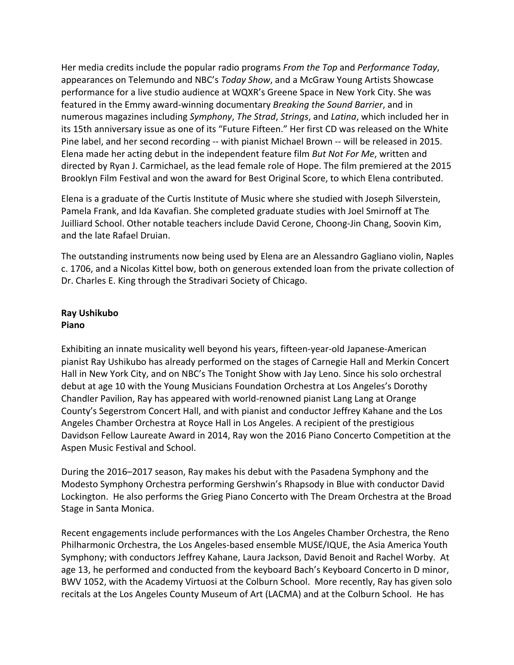Her media credits include the popular radio programs *From the Top* and *Performance Today*, appearances on Telemundo and NBC's *Today Show*, and a McGraw Young Artists Showcase performance for a live studio audience at WQXR's Greene Space in New York City. She was featured in the Emmy award-winning documentary *Breaking the Sound Barrier*, and in numerous magazines including *Symphony*, *The Strad*, *Strings*, and *Latina*, which included her in its 15th anniversary issue as one of its "Future Fifteen." Her first CD was released on the White Pine label, and her second recording -- with pianist Michael Brown -- will be released in 2015. Elena made her acting debut in the independent feature film *But Not For Me*, written and directed by Ryan J. Carmichael, as the lead female role of Hope. The film premiered at the 2015 Brooklyn Film Festival and won the award for Best Original Score, to which Elena contributed.

Elena is a graduate of the Curtis Institute of Music where she studied with Joseph Silverstein, Pamela Frank, and Ida Kavafian. She completed graduate studies with Joel Smirnoff at The Juilliard School. Other notable teachers include David Cerone, Choong-Jin Chang, Soovin Kim, and the late Rafael Druian.

The outstanding instruments now being used by Elena are an Alessandro Gagliano violin, Naples c. 1706, and a Nicolas Kittel bow, both on generous extended loan from the private collection of Dr. Charles E. King through the Stradivari Society of Chicago.

# **Ray Ushikubo Piano**

Exhibiting an innate musicality well beyond his years, fifteen-year-old Japanese-American pianist Ray Ushikubo has already performed on the stages of Carnegie Hall and Merkin Concert Hall in New York City, and on NBC's The Tonight Show with Jay Leno. Since his solo orchestral debut at age 10 with the Young Musicians Foundation Orchestra at Los Angeles's Dorothy Chandler Pavilion, Ray has appeared with world-renowned pianist Lang Lang at Orange County's Segerstrom Concert Hall, and with pianist and conductor Jeffrey Kahane and the Los Angeles Chamber Orchestra at Royce Hall in Los Angeles. A recipient of the prestigious Davidson Fellow Laureate Award in 2014, Ray won the 2016 Piano Concerto Competition at the Aspen Music Festival and School.

During the 2016–2017 season, Ray makes his debut with the Pasadena Symphony and the Modesto Symphony Orchestra performing Gershwin's Rhapsody in Blue with conductor David Lockington. He also performs the Grieg Piano Concerto with The Dream Orchestra at the Broad Stage in Santa Monica.

Recent engagements include performances with the Los Angeles Chamber Orchestra, the Reno Philharmonic Orchestra, the Los Angeles-based ensemble MUSE/IQUE, the Asia America Youth Symphony; with conductors Jeffrey Kahane, Laura Jackson, David Benoit and Rachel Worby. At age 13, he performed and conducted from the keyboard Bach's Keyboard Concerto in D minor, BWV 1052, with the Academy Virtuosi at the Colburn School. More recently, Ray has given solo recitals at the Los Angeles County Museum of Art (LACMA) and at the Colburn School. He has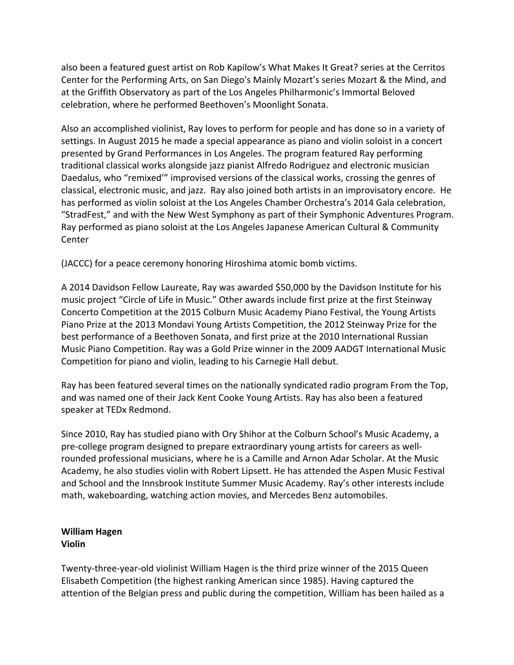also been a featured guest artist on Rob Kapilow's What Makes It Great? series at the Cerritos Center for the Performing Arts, on San Diego's Mainly Mozart's series Mozart & the Mind, and at the Griffith Observatory as part of the Los Angeles Philharmonic's Immortal Beloved celebration, where he performed Beethoven's Moonlight Sonata.

Also an accomplished violinist, Ray loves to perform for people and has done so in a variety of settings. In August 2015 he made a special appearance as piano and violin soloist in a concert presented by Grand Performances in Los Angeles. The program featured Ray performing traditional classical works alongside jazz pianist Alfredo Rodriguez and electronic musician Daedalus, who "remixed" improvised versions of the classical works, crossing the genres of classical, electronic music, and jazz. Ray also joined both artists in an improvisatory encore. He has performed as violin soloist at the Los Angeles Chamber Orchestra's 2014 Gala celebration, "StradFest," and with the New West Symphony as part of their Symphonic Adventures Program. Ray performed as piano soloist at the Los Angeles Japanese American Cultural & Community Center 

(JACCC) for a peace ceremony honoring Hiroshima atomic bomb victims.

A 2014 Davidson Fellow Laureate, Ray was awarded \$50,000 by the Davidson Institute for his music project "Circle of Life in Music." Other awards include first prize at the first Steinway Concerto Competition at the 2015 Colburn Music Academy Piano Festival, the Young Artists Piano Prize at the 2013 Mondavi Young Artists Competition, the 2012 Steinway Prize for the best performance of a Beethoven Sonata, and first prize at the 2010 International Russian Music Piano Competition. Ray was a Gold Prize winner in the 2009 AADGT International Music Competition for piano and violin, leading to his Carnegie Hall debut.

Ray has been featured several times on the nationally syndicated radio program From the Top, and was named one of their Jack Kent Cooke Young Artists. Ray has also been a featured speaker at TEDx Redmond.

Since 2010, Ray has studied piano with Ory Shihor at the Colburn School's Music Academy, a pre-college program designed to prepare extraordinary young artists for careers as wellrounded professional musicians, where he is a Camille and Arnon Adar Scholar. At the Music Academy, he also studies violin with Robert Lipsett. He has attended the Aspen Music Festival and School and the Innsbrook Institute Summer Music Academy. Ray's other interests include math, wakeboarding, watching action movies, and Mercedes Benz automobiles.

### **William Hagen Violin**

Twenty-three-year-old violinist William Hagen is the third prize winner of the 2015 Queen Elisabeth Competition (the highest ranking American since 1985). Having captured the attention of the Belgian press and public during the competition, William has been hailed as a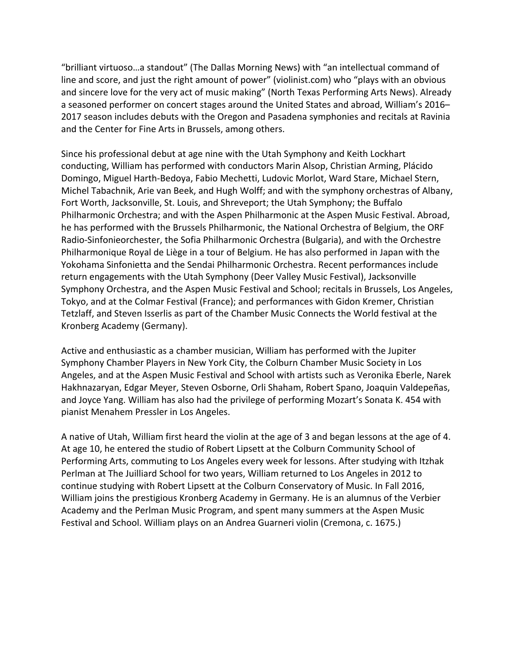"brilliant virtuoso...a standout" (The Dallas Morning News) with "an intellectual command of line and score, and just the right amount of power" (violinist.com) who "plays with an obvious and sincere love for the very act of music making" (North Texas Performing Arts News). Already a seasoned performer on concert stages around the United States and abroad, William's 2016– 2017 season includes debuts with the Oregon and Pasadena symphonies and recitals at Ravinia and the Center for Fine Arts in Brussels, among others.

Since his professional debut at age nine with the Utah Symphony and Keith Lockhart conducting, William has performed with conductors Marin Alsop, Christian Arming, Plácido Domingo, Miguel Harth-Bedoya, Fabio Mechetti, Ludovic Morlot, Ward Stare, Michael Stern, Michel Tabachnik, Arie van Beek, and Hugh Wolff; and with the symphony orchestras of Albany, Fort Worth, Jacksonville, St. Louis, and Shreveport; the Utah Symphony; the Buffalo Philharmonic Orchestra; and with the Aspen Philharmonic at the Aspen Music Festival. Abroad, he has performed with the Brussels Philharmonic, the National Orchestra of Belgium, the ORF Radio-Sinfonieorchester, the Sofia Philharmonic Orchestra (Bulgaria), and with the Orchestre Philharmonique Royal de Liège in a tour of Belgium. He has also performed in Japan with the Yokohama Sinfonietta and the Sendai Philharmonic Orchestra. Recent performances include return engagements with the Utah Symphony (Deer Valley Music Festival), Jacksonville Symphony Orchestra, and the Aspen Music Festival and School; recitals in Brussels, Los Angeles, Tokyo, and at the Colmar Festival (France); and performances with Gidon Kremer, Christian Tetzlaff, and Steven Isserlis as part of the Chamber Music Connects the World festival at the Kronberg Academy (Germany).

Active and enthusiastic as a chamber musician, William has performed with the Jupiter Symphony Chamber Players in New York City, the Colburn Chamber Music Society in Los Angeles, and at the Aspen Music Festival and School with artists such as Veronika Eberle, Narek Hakhnazaryan, Edgar Meyer, Steven Osborne, Orli Shaham, Robert Spano, Joaquin Valdepeñas, and Joyce Yang. William has also had the privilege of performing Mozart's Sonata K. 454 with pianist Menahem Pressler in Los Angeles.

A native of Utah, William first heard the violin at the age of 3 and began lessons at the age of 4. At age 10, he entered the studio of Robert Lipsett at the Colburn Community School of Performing Arts, commuting to Los Angeles every week for lessons. After studying with Itzhak Perlman at The Juilliard School for two years, William returned to Los Angeles in 2012 to continue studying with Robert Lipsett at the Colburn Conservatory of Music. In Fall 2016, William joins the prestigious Kronberg Academy in Germany. He is an alumnus of the Verbier Academy and the Perlman Music Program, and spent many summers at the Aspen Music Festival and School. William plays on an Andrea Guarneri violin (Cremona, c. 1675.)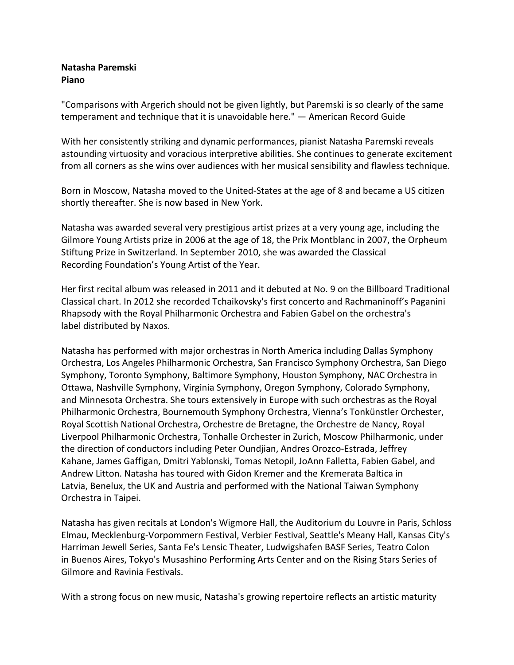## **Natasha Paremski Piano**

"Comparisons with Argerich should not be given lightly, but Paremski is so clearly of the same temperament and technique that it is unavoidable here."  $-$  American Record Guide

With her consistently striking and dynamic performances, pianist Natasha Paremski reveals astounding virtuosity and voracious interpretive abilities. She continues to generate excitement from all corners as she wins over audiences with her musical sensibility and flawless technique.

Born in Moscow, Natasha moved to the United-States at the age of 8 and became a US citizen shortly thereafter. She is now based in New York.

Natasha was awarded several very prestigious artist prizes at a very young age, including the Gilmore Young Artists prize in 2006 at the age of 18, the Prix Montblanc in 2007, the Orpheum Stiftung Prize in Switzerland. In September 2010, she was awarded the Classical Recording Foundation's Young Artist of the Year.

Her first recital album was released in 2011 and it debuted at No. 9 on the Billboard Traditional Classical chart. In 2012 she recorded Tchaikovsky's first concerto and Rachmaninoff's Paganini Rhapsody with the Royal Philharmonic Orchestra and Fabien Gabel on the orchestra's label distributed by Naxos.

Natasha has performed with major orchestras in North America including Dallas Symphony Orchestra, Los Angeles Philharmonic Orchestra, San Francisco Symphony Orchestra, San Diego Symphony, Toronto Symphony, Baltimore Symphony, Houston Symphony, NAC Orchestra in Ottawa, Nashville Symphony, Virginia Symphony, Oregon Symphony, Colorado Symphony, and Minnesota Orchestra. She tours extensively in Europe with such orchestras as the Royal Philharmonic Orchestra, Bournemouth Symphony Orchestra, Vienna's Tonkünstler Orchester, Royal Scottish National Orchestra, Orchestre de Bretagne, the Orchestre de Nancy, Royal Liverpool Philharmonic Orchestra, Tonhalle Orchester in Zurich, Moscow Philharmonic, under the direction of conductors including Peter Oundjian, Andres Orozco-Estrada, Jeffrey Kahane, James Gaffigan, Dmitri Yablonski, Tomas Netopil, JoAnn Falletta, Fabien Gabel, and Andrew Litton. Natasha has toured with Gidon Kremer and the Kremerata Baltica in Latvia, Benelux, the UK and Austria and performed with the National Taiwan Symphony Orchestra in Taipei.

Natasha has given recitals at London's Wigmore Hall, the Auditorium du Louvre in Paris, Schloss Elmau, Mecklenburg-Vorpommern Festival, Verbier Festival, Seattle's Meany Hall, Kansas City's Harriman Jewell Series, Santa Fe's Lensic Theater, Ludwigshafen BASF Series, Teatro Colon in Buenos Aires, Tokyo's Musashino Performing Arts Center and on the Rising Stars Series of Gilmore and Ravinia Festivals.

With a strong focus on new music, Natasha's growing repertoire reflects an artistic maturity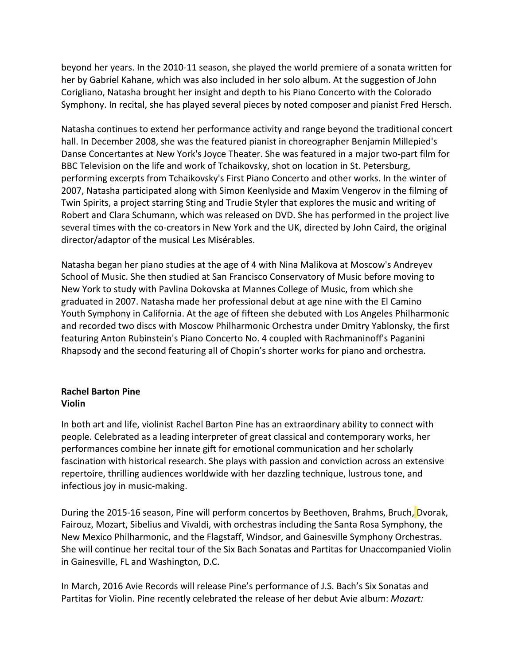beyond her years. In the 2010-11 season, she played the world premiere of a sonata written for her by Gabriel Kahane, which was also included in her solo album. At the suggestion of John Corigliano, Natasha brought her insight and depth to his Piano Concerto with the Colorado Symphony. In recital, she has played several pieces by noted composer and pianist Fred Hersch.

Natasha continues to extend her performance activity and range beyond the traditional concert hall. In December 2008, she was the featured pianist in choreographer Benjamin Millepied's Danse Concertantes at New York's Joyce Theater. She was featured in a major two-part film for BBC Television on the life and work of Tchaikovsky, shot on location in St. Petersburg, performing excerpts from Tchaikovsky's First Piano Concerto and other works. In the winter of 2007, Natasha participated along with Simon Keenlyside and Maxim Vengerov in the filming of Twin Spirits, a project starring Sting and Trudie Styler that explores the music and writing of Robert and Clara Schumann, which was released on DVD. She has performed in the project live several times with the co-creators in New York and the UK, directed by John Caird, the original director/adaptor of the musical Les Misérables.

Natasha began her piano studies at the age of 4 with Nina Malikova at Moscow's Andreyev School of Music. She then studied at San Francisco Conservatory of Music before moving to New York to study with Pavlina Dokovska at Mannes College of Music, from which she graduated in 2007. Natasha made her professional debut at age nine with the El Camino Youth Symphony in California. At the age of fifteen she debuted with Los Angeles Philharmonic and recorded two discs with Moscow Philharmonic Orchestra under Dmitry Yablonsky, the first featuring Anton Rubinstein's Piano Concerto No. 4 coupled with Rachmaninoff's Paganini Rhapsody and the second featuring all of Chopin's shorter works for piano and orchestra.

## **Rachel Barton Pine Violin**

In both art and life, violinist Rachel Barton Pine has an extraordinary ability to connect with people. Celebrated as a leading interpreter of great classical and contemporary works, her performances combine her innate gift for emotional communication and her scholarly fascination with historical research. She plays with passion and conviction across an extensive repertoire, thrilling audiences worldwide with her dazzling technique, lustrous tone, and infectious joy in music-making.

During the 2015-16 season, Pine will perform concertos by Beethoven, Brahms, Bruch, Dvorak, Fairouz, Mozart, Sibelius and Vivaldi, with orchestras including the Santa Rosa Symphony, the New Mexico Philharmonic, and the Flagstaff, Windsor, and Gainesville Symphony Orchestras. She will continue her recital tour of the Six Bach Sonatas and Partitas for Unaccompanied Violin in Gainesville, FL and Washington, D.C.

In March, 2016 Avie Records will release Pine's performance of J.S. Bach's Six Sonatas and Partitas for Violin. Pine recently celebrated the release of her debut Avie album: *Mozart:*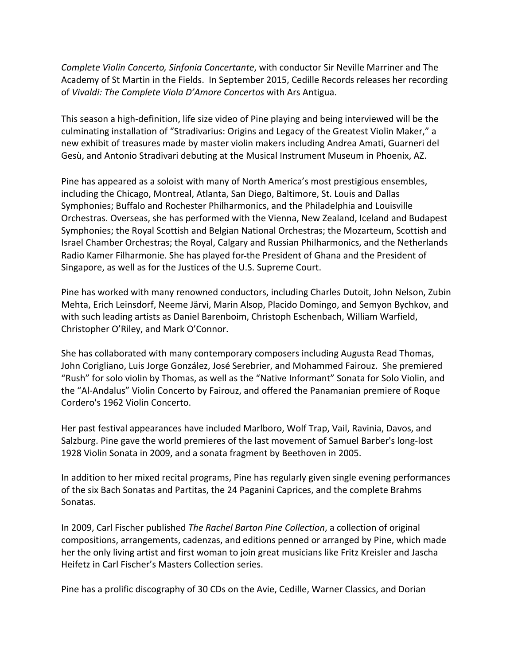*Complete Violin Concerto, Sinfonia Concertante,* with conductor Sir Neville Marriner and The Academy of St Martin in the Fields. In September 2015, Cedille Records releases her recording of Vivaldi: The Complete Viola D'Amore Concertos with Ars Antigua.

This season a high-definition, life size video of Pine playing and being interviewed will be the culminating installation of "Stradivarius: Origins and Legacy of the Greatest Violin Maker," a new exhibit of treasures made by master violin makers including Andrea Amati, Guarneri del Gesù, and Antonio Stradivari debuting at the Musical Instrument Museum in Phoenix, AZ.

Pine has appeared as a soloist with many of North America's most prestigious ensembles, including the Chicago, Montreal, Atlanta, San Diego, Baltimore, St. Louis and Dallas Symphonies; Buffalo and Rochester Philharmonics, and the Philadelphia and Louisville Orchestras. Overseas, she has performed with the Vienna, New Zealand, Iceland and Budapest Symphonies; the Royal Scottish and Belgian National Orchestras; the Mozarteum, Scottish and Israel Chamber Orchestras; the Royal, Calgary and Russian Philharmonics, and the Netherlands Radio Kamer Filharmonie. She has played for-the President of Ghana and the President of Singapore, as well as for the Justices of the U.S. Supreme Court.

Pine has worked with many renowned conductors, including Charles Dutoit, John Nelson, Zubin Mehta, Erich Leinsdorf, Neeme Järvi, Marin Alsop, Placido Domingo, and Semyon Bychkov, and with such leading artists as Daniel Barenboim, Christoph Eschenbach, William Warfield, Christopher O'Riley, and Mark O'Connor.

She has collaborated with many contemporary composers including Augusta Read Thomas, John Corigliano, Luis Jorge González, José Serebrier, and Mohammed Fairouz. She premiered "Rush" for solo violin by Thomas, as well as the "Native Informant" Sonata for Solo Violin, and the "Al-Andalus" Violin Concerto by Fairouz, and offered the Panamanian premiere of Roque Cordero's 1962 Violin Concerto.

Her past festival appearances have included Marlboro, Wolf Trap, Vail, Ravinia, Davos, and Salzburg. Pine gave the world premieres of the last movement of Samuel Barber's long-lost 1928 Violin Sonata in 2009, and a sonata fragment by Beethoven in 2005.

In addition to her mixed recital programs, Pine has regularly given single evening performances of the six Bach Sonatas and Partitas, the 24 Paganini Caprices, and the complete Brahms Sonatas.

In 2009, Carl Fischer published *The Rachel Barton Pine Collection*, a collection of original compositions, arrangements, cadenzas, and editions penned or arranged by Pine, which made her the only living artist and first woman to join great musicians like Fritz Kreisler and Jascha Heifetz in Carl Fischer's Masters Collection series.

Pine has a prolific discography of 30 CDs on the Avie, Cedille, Warner Classics, and Dorian